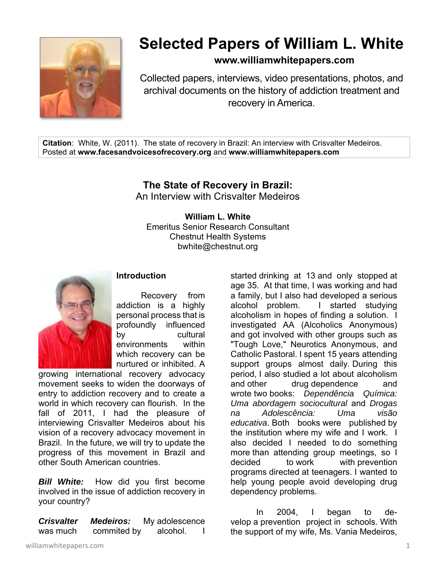

## **Selected Papers of William L. White**

**www.williamwhitepapers.com**

Collected papers, interviews, video presentations, photos, and archival documents on the history of addiction treatment and recovery in America.

**Citation**: White, W. (2011). The state of recovery in Brazil: An interview with Crisvalter Medeiros. Posted at **www.facesandvoicesofrecovery.org** and **www.williamwhitepapers.com** 

## **The State of Recovery in Brazil:**

An Interview with Crisvalter Medeiros

## **William L. White**

Emeritus Senior Research Consultant Chestnut Health Systems bwhite@chestnut.org



## **Introduction**

 Recovery from addiction is a highly personal process that is profoundly influenced by cultural environments within which recovery can be nurtured or inhibited. A

growing international recovery advocacy movement seeks to widen the doorways of entry to addiction recovery and to create a world in which recovery can flourish. In the fall of 2011, I had the pleasure of interviewing Crisvalter Medeiros about his vision of a recovery advocacy movement in Brazil. In the future, we will try to update the progress of this movement in Brazil and other South American countries.

*Bill White:* How did you first become involved in the issue of addiction recovery in your country?

*Crisvalter Medeiros:* My adolescence was much commited by alcohol. I started drinking at 13 and only stopped at age 35. At that time, I was working and had a family, but I also had developed a serious alcohol problem. I started studying alcoholism in hopes of finding a solution. I investigated AA (Alcoholics Anonymous) and got involved with other groups such as "Tough Love," Neurotics Anonymous, and Catholic Pastoral. I spent 15 years attending support groups almost daily. During this period, I also studied a lot about alcoholism and other drug dependence and wrote two books: *Dependência Química: Uma abordagem sociocultural* and *Drogas na Adolescência: Uma visão educativa*. Both books were published by the institution where my wife and I work. I also decided I needed to do something more than attending group meetings, so I decided to work with prevention programs directed at teenagers. I wanted to help young people avoid developing drug dependency problems.

 In 2004, I began to develop a prevention project in schools. With the support of my wife, Ms. Vania Medeiros,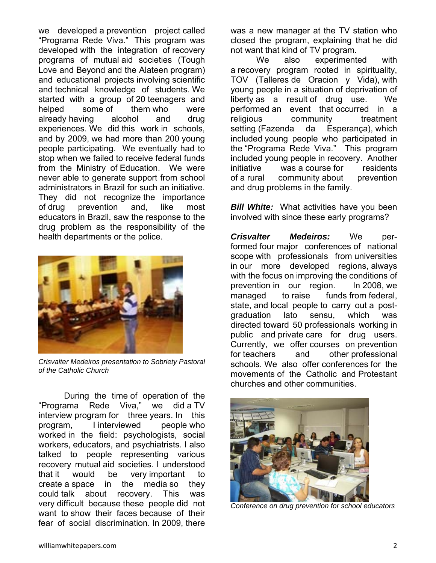we developed a prevention project called "Programa Rede Viva." This program was developed with the integration of recovery programs of mutual aid societies (Tough Love and Beyond and the Alateen program) and educational projects involving scientific and technical knowledge of students. We started with a group of 20 teenagers and helped some of them who were already having alcohol and drug experiences. We did this work in schools, and by 2009, we had more than 200 young people participating. We eventually had to stop when we failed to receive federal funds from the Ministry of Education. We were never able to generate support from school administrators in Brazil for such an initiative. They did not recognize the importance of drug prevention and, like most educators in Brazil, saw the response to the drug problem as the responsibility of the health departments or the police.



*Crisvalter Medeiros presentation to Sobriety Pastoral of the Catholic Church*

 During the time of operation of the "Programa Rede Viva," we did a TV interview program for three years. In this program, I interviewed people who worked in the field: psychologists, social workers, educators, and psychiatrists. I also talked to people representing various recovery mutual aid societies. I understood that it would be very important to create a space in the media so they could talk about recovery. This was very difficult because these people did not want to show their faces because of their fear of social discrimination. In 2009, there

was a new manager at the TV station who closed the program, explaining that he did not want that kind of TV program.

We also experimented with a recovery program rooted in spirituality, TOV (Talleres de Oracion y Vida), with young people in a situation of deprivation of liberty as a result of drug use. We performed an event that occurred in a religious community treatment setting (Fazenda da Esperança), which included young people who participated in the "Programa Rede Viva." This program included young people in recovery. Another initiative was a course for residents of a rural community about prevention and drug problems in the family.

**Bill White:** What activities have you been involved with since these early programs?

**Crisvalter Medeiros:** We performed four major conferences of national scope with professionals from universities in our more developed regions, always with the focus on improving the conditions of prevention in our region. In 2008, we managed to raise funds from federal, state, and local people to carry out a postgraduation lato sensu, which was directed toward 50 professionals working in public and private care for drug users. Currently, we offer courses on prevention for teachers and other professional schools. We also offer conferences for the movements of the Catholic and Protestant churches and other communities.



*Conference on drug prevention for school educators*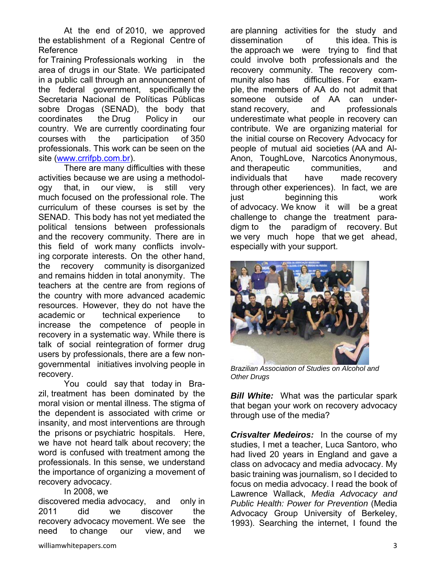At the end of 2010, we approved the establishment of a Regional Centre of Reference

for Training Professionals working in the area of drugs in our State. We participated in a public call through an announcement of the federal government, specifically the Secretaria Nacional de Políticas Públicas sobre Drogas (SENAD), the body that coordinates the Drug Policy in our country. We are currently coordinating four courses with the participation of 350 professionals. This work can be seen on the site (www.crrifpb.com.br).

 There are many difficulties with these activities because we are using a methodology that, in our view, is still very much focused on the professional role. The curriculum of these courses is set by the SENAD. This body has not yet mediated the political tensions between professionals and the recovery community. There are in this field of work many conflicts involving corporate interests. On the other hand, the recovery community is disorganized and remains hidden in total anonymity. The teachers at the centre are from regions of the country with more advanced academic resources. However, they do not have the academic or technical experience to increase the competence of people in recovery in a systematic way. While there is talk of social reintegration of former drug users by professionals, there are a few nongovernmental initiatives involving people in recovery.

 You could say that today in Brazil, treatment has been dominated by the moral vision or mental illness. The stigma of the dependent is associated with crime or insanity, and most interventions are through the prisons or psychiatric hospitals. Here, we have not heard talk about recovery; the word is confused with treatment among the professionals. In this sense, we understand the importance of organizing a movement of recovery advocacy.

In 2008, we

discovered media advocacy, and only in 2011 did we discover the recovery advocacy movement. We see the need to change our view, and we

dissemination of this idea. This is the approach we were trying to find that could involve both professionals and the recovery community. The recovery community also has difficulties. For example, the members of AA do not admit that someone outside of AA can understand recovery, and professionals underestimate what people in recovery can contribute. We are organizing material for the initial course on Recovery Advocacy for people of mutual aid societies (AA and Al-Anon, ToughLove, Narcotics Anonymous, and therapeutic communities, and individuals that have made recovery through other experiences). In fact, we are just beginning this work of advocacy. We know it will be a great challenge to change the treatment paradigm to the paradigm of recovery. But we very much hope that we get ahead, especially with your support.

are planning activities for the study and



*Brazilian Association of Studies on Alcohol and Other Drugs* 

*Bill White:* What was the particular spark that began your work on recovery advocacy through use of the media?

**Crisvalter Medeiros:** In the course of my studies, I met a teacher, Luca Santoro, who had lived 20 years in England and gave a class on advocacy and media advocacy. My basic training was journalism, so I decided to focus on media advocacy. I read the book of Lawrence Wallack, *Media Advocacy and Public Health: Power for Prevention* (Media Advocacy Group University of Berkeley, 1993). Searching the internet, I found the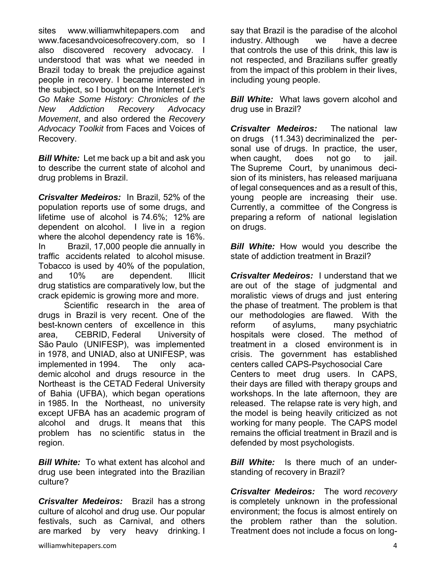sites www.williamwhitepapers.com and www.facesandvoicesofrecovery.com, so I also discovered recovery advocacy. I understood that was what we needed in Brazil today to break the prejudice against people in recovery. I became interested in the subject, so I bought on the Internet *Let's Go Make Some History: Chronicles of the New Addiction Recovery Advocacy Movement*, and also ordered the *Recovery Advocacy Toolkit* from Faces and Voices of Recovery.

*Bill White:* Let me back up a bit and ask you to describe the current state of alcohol and drug problems in Brazil.

*Crisvalter Medeiros:* In Brazil, 52% of the population reports use of some drugs, and lifetime use of alcohol is 74.6%; 12% are dependent on alcohol. I live in a region where the alcohol dependency rate is 16%. In Brazil, 17,000 people die annually in traffic accidents related to alcohol misuse. Tobacco is used by 40% of the population, and 10% are dependent. Illicit drug statistics are comparatively low, but the crack epidemic is growing more and more.

 Scientific research in the area of drugs in Brazil is very recent. One of the best-known centers of excellence in this area, CEBRID, Federal University of São Paulo (UNIFESP), was implemented in 1978, and UNIAD, also at UNIFESP, was implemented in 1994. The only academic alcohol and drugs resource in the Northeast is the CETAD Federal University of Bahia (UFBA), which began operations in 1985. In the Northeast, no university except UFBA has an academic program of alcohol and drugs. It means that this problem has no scientific status in the region.

*Bill White:* To what extent has alcohol and drug use been integrated into the Brazilian culture?

*Crisvalter Medeiros:* Brazil has a strong culture of alcohol and drug use. Our popular festivals, such as Carnival, and others are marked by very heavy drinking. I

say that Brazil is the paradise of the alcohol industry. Although we have a decree that controls the use of this drink, this law is not respected, and Brazilians suffer greatly from the impact of this problem in their lives, including young people.

*Bill White:* What laws govern alcohol and drug use in Brazil?

*Crisvalter Medeiros:* The national law on drugs (11.343) decriminalized the personal use of drugs. In practice, the user, when caught, does not go to jail. The Supreme Court, by unanimous decision of its ministers, has released marijuana of legal consequences and as a result of this, young people are increasing their use. Currently, a committee of the Congress is preparing a reform of national legislation on drugs.

*Bill White:* How would you describe the state of addiction treatment in Brazil?

*Crisvalter Medeiros:* I understand that we are out of the stage of judgmental and moralistic views of drugs and just entering the phase of treatment. The problem is that our methodologies are flawed. With the reform of asylums, many psychiatric hospitals were closed. The method of treatment in a closed environment is in crisis. The government has established centers called CAPS-Psychosocial Care Centers to meet drug users. In CAPS, their days are filled with therapy groups and workshops. In the late afternoon, they are released. The relapse rate is very high, and the model is being heavily criticized as not working for many people. The CAPS model remains the official treatment in Brazil and is defended by most psychologists.

*Bill White:* Is there much of an understanding of recovery in Brazil?

*Crisvalter Medeiros:* The word *recovery* is completely unknown in the professional environment; the focus is almost entirely on the problem rather than the solution. Treatment does not include a focus on long